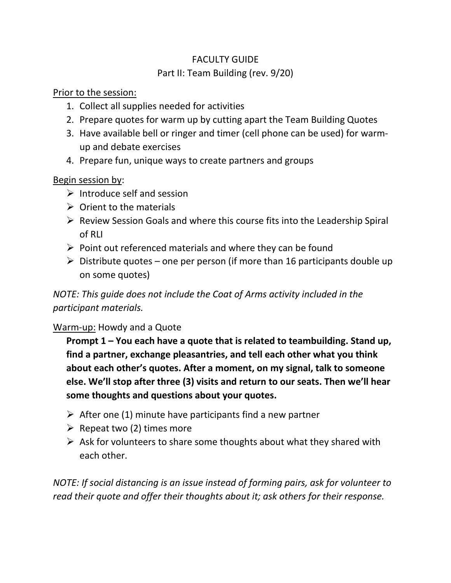### FACULTY GUIDE Part II: Team Building (rev. 9/20)

Prior to the session:

- 1. Collect all supplies needed for activities
- 2. Prepare quotes for warm up by cutting apart the Team Building Quotes
- 3. Have available bell or ringer and timer (cell phone can be used) for warmup and debate exercises
- 4. Prepare fun, unique ways to create partners and groups

Begin session by:

- $\triangleright$  Introduce self and session
- $\triangleright$  Orient to the materials
- ➢ Review Session Goals and where this course fits into the Leadership Spiral of RLI
- $\triangleright$  Point out referenced materials and where they can be found
- $\triangleright$  Distribute quotes one per person (if more than 16 participants double up on some quotes)

*NOTE: This guide does not include the Coat of Arms activity included in the participant materials.*

#### Warm-up: Howdy and a Quote

**Prompt 1 – You each have a quote that is related to teambuilding. Stand up, find a partner, exchange pleasantries, and tell each other what you think about each other's quotes. After a moment, on my signal, talk to someone else. We'll stop after three (3) visits and return to our seats. Then we'll hear some thoughts and questions about your quotes.** 

- $\triangleright$  After one (1) minute have participants find a new partner
- $\triangleright$  Repeat two (2) times more
- $\triangleright$  Ask for volunteers to share some thoughts about what they shared with each other.

*NOTE: If social distancing is an issue instead of forming pairs, ask for volunteer to read their quote and offer their thoughts about it; ask others for their response.*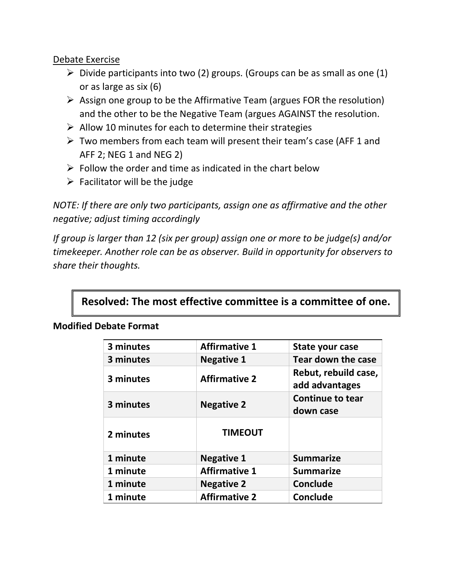Debate Exercise

- $\triangleright$  Divide participants into two (2) groups. (Groups can be as small as one (1) or as large as six (6)
- $\triangleright$  Assign one group to be the Affirmative Team (argues FOR the resolution) and the other to be the Negative Team (argues AGAINST the resolution.
- $\triangleright$  Allow 10 minutes for each to determine their strategies
- $\triangleright$  Two members from each team will present their team's case (AFF 1 and AFF 2; NEG 1 and NEG 2)
- $\triangleright$  Follow the order and time as indicated in the chart below
- $\triangleright$  Facilitator will be the judge

*NOTE: If there are only two participants, assign one as affirmative and the other negative; adjust timing accordingly*

*If group is larger than 12 (six per group) assign one or more to be judge(s) and/or timekeeper. Another role can be as observer. Build in opportunity for observers to share their thoughts.*

# **Resolved: The most effective committee is a committee of one.**

| 3 minutes | <b>Affirmative 1</b> | State your case                        |
|-----------|----------------------|----------------------------------------|
| 3 minutes | <b>Negative 1</b>    | <b>Tear down the case</b>              |
| 3 minutes | <b>Affirmative 2</b> | Rebut, rebuild case,<br>add advantages |
| 3 minutes | <b>Negative 2</b>    | <b>Continue to tear</b><br>down case   |
| 2 minutes | <b>TIMEOUT</b>       |                                        |
| 1 minute  | <b>Negative 1</b>    | <b>Summarize</b>                       |
| 1 minute  | <b>Affirmative 1</b> | <b>Summarize</b>                       |
| 1 minute  | <b>Negative 2</b>    | Conclude                               |
| 1 minute  | <b>Affirmative 2</b> | Conclude                               |

#### **Modified Debate Format**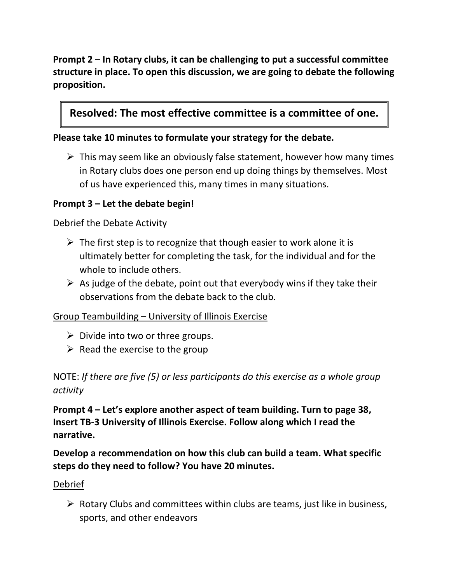**Prompt 2 – In Rotary clubs, it can be challenging to put a successful committee structure in place. To open this discussion, we are going to debate the following proposition.** 

## **Resolved: The most effective committee is a committee of one.**

#### **Please take 10 minutes to formulate your strategy for the debate.**

 $\triangleright$  This may seem like an obviously false statement, however how many times in Rotary clubs does one person end up doing things by themselves. Most of us have experienced this, many times in many situations.

#### **Prompt 3 – Let the debate begin!**

#### Debrief the Debate Activity

- $\triangleright$  The first step is to recognize that though easier to work alone it is ultimately better for completing the task, for the individual and for the whole to include others.
- $\triangleright$  As judge of the debate, point out that everybody wins if they take their observations from the debate back to the club.

#### Group Teambuilding – University of Illinois Exercise

- $\triangleright$  Divide into two or three groups.
- $\triangleright$  Read the exercise to the group

NOTE: *If there are five (5) or less participants do this exercise as a whole group activity*

**Prompt 4 – Let's explore another aspect of team building. Turn to page 38, Insert TB-3 University of Illinois Exercise. Follow along which I read the narrative.**

**Develop a recommendation on how this club can build a team. What specific steps do they need to follow? You have 20 minutes.**

#### Debrief

 $\triangleright$  Rotary Clubs and committees within clubs are teams, just like in business, sports, and other endeavors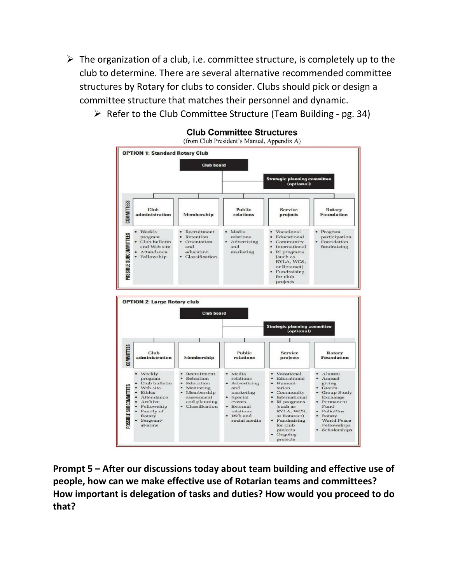- $\triangleright$  The organization of a club, i.e. committee structure, is completely up to the club to determine. There are several alternative recommended committee structures by Rotary for clubs to consider. Clubs should pick or design a committee structure that matches their personnel and dynamic.
	- $\triangleright$  Refer to the Club Committee Structure (Team Building pg. 34)



**Club Committee Structures** 

**Prompt 5 – After our discussions today about team building and effective use of people, how can we make effective use of Rotarian teams and committees? How important is delegation of tasks and duties? How would you proceed to do that?**